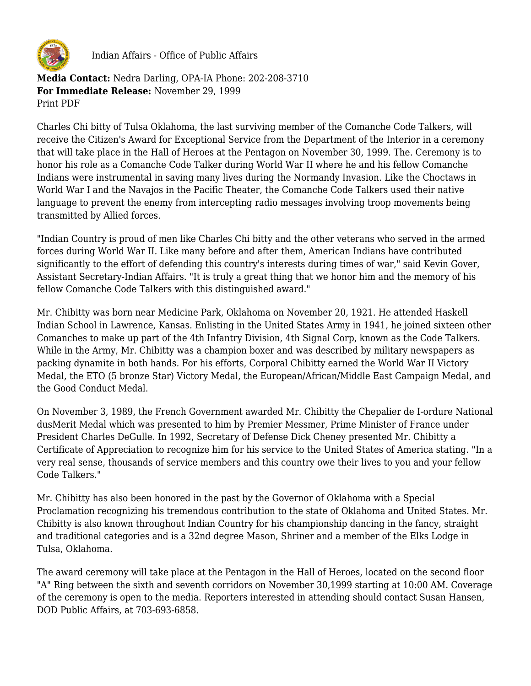

Indian Affairs - Office of Public Affairs

**Media Contact:** Nedra Darling, OPA-IA Phone: 202-208-3710 **For Immediate Release:** November 29, 1999 Print PDF

Charles Chi bitty of Tulsa Oklahoma, the last surviving member of the Comanche Code Talkers, will receive the Citizen's Award for Exceptional Service from the Department of the Interior in a ceremony that will take place in the Hall of Heroes at the Pentagon on November 30, 1999. The. Ceremony is to honor his role as a Comanche Code Talker during World War II where he and his fellow Comanche Indians were instrumental in saving many lives during the Normandy Invasion. Like the Choctaws in World War I and the Navajos in the Pacific Theater, the Comanche Code Talkers used their native language to prevent the enemy from intercepting radio messages involving troop movements being transmitted by Allied forces.

"Indian Country is proud of men like Charles Chi bitty and the other veterans who served in the armed forces during World War II. Like many before and after them, American Indians have contributed significantly to the effort of defending this country's interests during times of war," said Kevin Gover, Assistant Secretary-Indian Affairs. "It is truly a great thing that we honor him and the memory of his fellow Comanche Code Talkers with this distinguished award."

Mr. Chibitty was born near Medicine Park, Oklahoma on November 20, 1921. He attended Haskell Indian School in Lawrence, Kansas. Enlisting in the United States Army in 1941, he joined sixteen other Comanches to make up part of the 4th Infantry Division, 4th Signal Corp, known as the Code Talkers. While in the Army, Mr. Chibitty was a champion boxer and was described by military newspapers as packing dynamite in both hands. For his efforts, Corporal Chibitty earned the World War II Victory Medal, the ETO (5 bronze Star) Victory Medal, the European/African/Middle East Campaign Medal, and the Good Conduct Medal.

On November 3, 1989, the French Government awarded Mr. Chibitty the Chepalier de I-ordure National dusMerit Medal which was presented to him by Premier Messmer, Prime Minister of France under President Charles DeGulle. In 1992, Secretary of Defense Dick Cheney presented Mr. Chibitty a Certificate of Appreciation to recognize him for his service to the United States of America stating. "In a very real sense, thousands of service members and this country owe their lives to you and your fellow Code Talkers."

Mr. Chibitty has also been honored in the past by the Governor of Oklahoma with a Special Proclamation recognizing his tremendous contribution to the state of Oklahoma and United States. Mr. Chibitty is also known throughout Indian Country for his championship dancing in the fancy, straight and traditional categories and is a 32nd degree Mason, Shriner and a member of the Elks Lodge in Tulsa, Oklahoma.

The award ceremony will take place at the Pentagon in the Hall of Heroes, located on the second floor "A" Ring between the sixth and seventh corridors on November 30,1999 starting at 10:00 AM. Coverage of the ceremony is open to the media. Reporters interested in attending should contact Susan Hansen, DOD Public Affairs, at 703-693-6858.